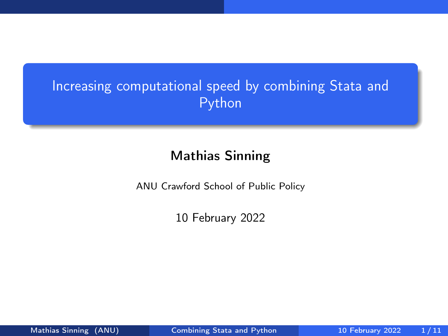# <span id="page-0-0"></span>Increasing computational speed by combining Stata and Python

## Mathias Sinning

ANU Crawford School of Public Policy

10 February 2022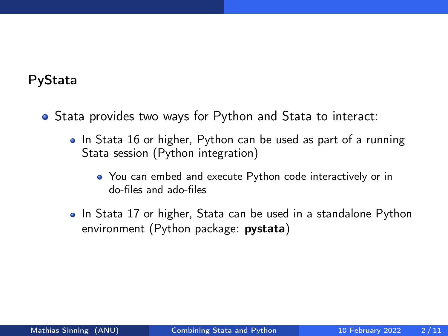### PyStata

- Stata provides two ways for Python and Stata to interact:
	- In Stata 16 or higher, Python can be used as part of a running Stata session (Python integration)
		- You can embed and execute Python code interactively or in do-files and ado-files
	- In Stata 17 or higher, Stata can be used in a standalone Python environment (Python package: pystata)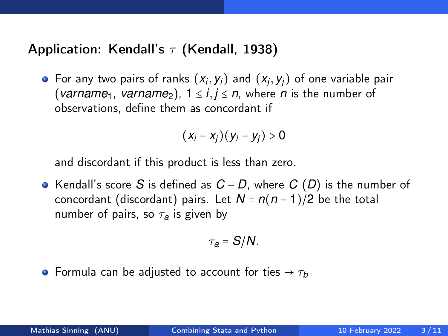### Application: Kendall's  $\tau$  (Kendall, 1938)

For any two pairs of ranks  $(x_i, y_i)$  and  $(x_j, y_j)$  of one variable pair (*varname*<sub>1</sub>, *varname*<sub>2</sub>),  $1 \le i, j \le n$ , where *n* is the number of observations, define them as concordant if

$$
(x_i-x_j)(y_i-y_j)>0
$$

and discordant if this product is less than zero.

Kendall's score *S* is defined as *C* − *D*, where *C* (*D*) is the number of concordant (discordant) pairs. Let  $N = n(n-1)/2$  be the total number of pairs, so  $\tau_a$  is given by

$$
\tau_a = S/N.
$$

**•** Formula can be adjusted to account for ties  $\rightarrow \tau_b$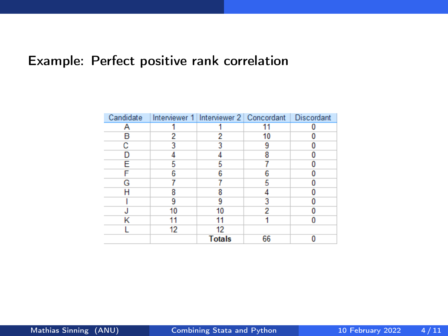## Example: Perfect positive rank correlation

| Candidate |    | Interviewer 1 Interviewer 2 Concordant   Discordant |    |  |
|-----------|----|-----------------------------------------------------|----|--|
|           |    |                                                     |    |  |
| R         | 2  |                                                     | 10 |  |
|           |    |                                                     | q  |  |
|           |    |                                                     | 8  |  |
| F         |    |                                                     |    |  |
|           | Բ  |                                                     |    |  |
| G         |    |                                                     |    |  |
|           | Զ  |                                                     |    |  |
|           |    |                                                     |    |  |
|           | 10 | 10                                                  | 2  |  |
|           |    |                                                     |    |  |
|           | 12 | 12                                                  |    |  |
|           |    | <b>Totals</b>                                       | 66 |  |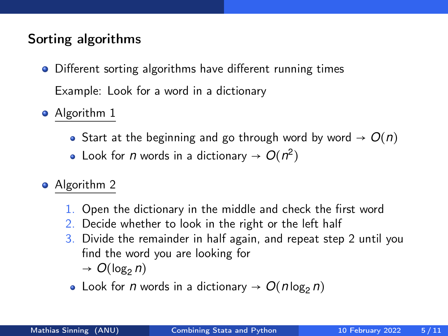## Sorting algorithms

- Different sorting algorithms have different running times Example: Look for a word in a dictionary
- Algorithm 1
	- Start at the beginning and go through word by word  $\rightarrow O(n)$
	- Look for *n* words in a dictionary  $\rightarrow O(n^2)$
- Algorithm 2
	- 1. Open the dictionary in the middle and check the first word
	- 2. Decide whether to look in the right or the left half
	- 3. Divide the remainder in half again, and repeat step 2 until you find the word you are looking for  $\rightarrow O(\log_2 n)$ 
		- Look for *n* words in a dictionary  $\rightarrow O(n \log_2 n)$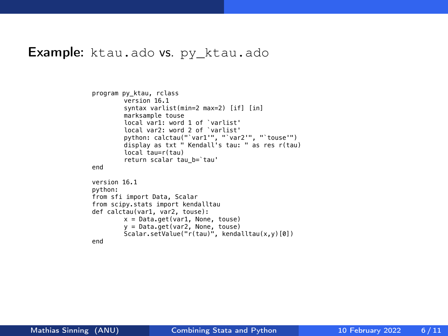#### **Example:** ktau.ado vs. py ktau.ado

```
program py_ktau, rclass
        version 16.1
        syntax varlist(min=2 max=2) [if] [in]
        marksample touse
        local var1: word 1 of `varlist'
        local var2: word 2 of `varlist'
        python: calctau("`var1'", "`var2'", "`touse'")
        display as txt " Kendall's tau: " as res r(tau)
        local tau=r(tau)
        return scalar tau_b=`tau'
end
version 16.1
python:
from sfi import Data, Scalar
from scipy.stats import kendalltau
def calctau(var1, var2, touse):
        x = Data.get(var1, None, tous)y = Data.get(var2, None, touse)
        Scalar.setValue("r(tau)", kendalltau(x,y)[0])
end
```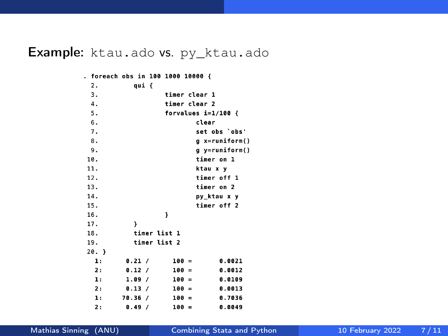## Example: ktau.ado vs. py\_ktau.ado

. foreach obs in 100 1000 10000 {

| 2.   | qui {               |                    |  |  |  |
|------|---------------------|--------------------|--|--|--|
| 3.   |                     | timer clear 1      |  |  |  |
| 4.   | timer clear 2       |                    |  |  |  |
| 5.   | forvalues i=1/100 { |                    |  |  |  |
| 6.   |                     | clear              |  |  |  |
| 7.   |                     | set obs 'obs'      |  |  |  |
| 8.   |                     | g x=runiform()     |  |  |  |
| 9.   |                     | g y=runiform()     |  |  |  |
| 10.  |                     | timer on 1         |  |  |  |
| 11.  |                     | ktau x v           |  |  |  |
| 12.  |                     | timer off 1        |  |  |  |
| 13.  |                     | timer on 2         |  |  |  |
| 14.  |                     | py_ktau x y        |  |  |  |
| 15.  |                     | timer off 2        |  |  |  |
| 16.  |                     | ł                  |  |  |  |
| 17.  | Y                   |                    |  |  |  |
| 18.  | timer list 1        |                    |  |  |  |
| 19.  | timer list 2        |                    |  |  |  |
| 20.} |                     |                    |  |  |  |
| ı:   | 0.21 /              | $100 =$<br>0.0021  |  |  |  |
| 2:   | 0.12 /              | $100 =$<br>0.0012  |  |  |  |
| ı:   | 1.09/               | 100 =<br>0.0109    |  |  |  |
| 2:   | 0.13 /              | $100 =$<br>0.0013  |  |  |  |
| ı:   | 70.36/              | $100 =$<br>0.7036  |  |  |  |
| 2:   | 0.49<br>$\prime$    | 100<br>0.0049<br>= |  |  |  |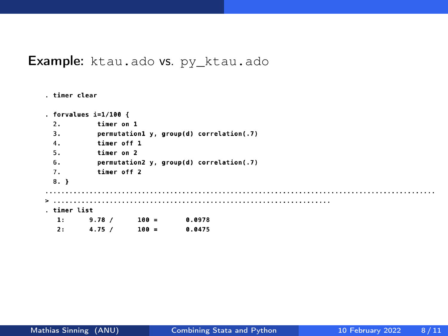#### Example: ktau.ado vs. py\_ktau.ado

```
. forvalues i=1/100 {
 2.timer on 1
 \overline{3}.
          permutation1 y, group(d) correlation(.7)
         timer off 1
 \mathbf{A}.
          timer on 2
 5.6.permutation2 y, group(d) correlation(.7)
          timer off 2
 7<sub>1</sub>8. \}. . . . . . . . . . . . . . . . . . .
                           . . . . . . . . . . . . . . . . . . .
                                                            . timer list
  1:9.78 / 100 =0.0978
  2:4.75/100 =0.0475
```
timer clear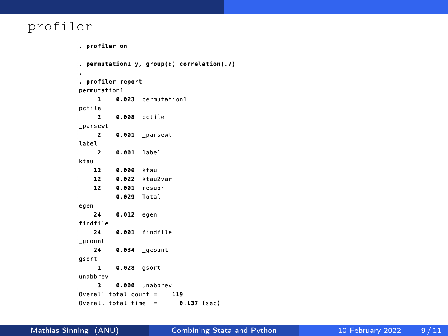#### profiler

```
. profiler on
. permutation1 y, group(d) correlation(.7)
\blacksquare. profiler report
permutation1
     \mathbf{1}0.023 permutation1
pctile
      \overline{2}0.008 pctile
_parsewt
     \overline{\mathbf{2}}0.001 _parsewt
label
     \overline{\mathbf{2}}0.001 label
ktau
    12
           0.006 ktau
    12
        0.022 ktau2var
    120.001 resupr
           0.029 Total
egen
    24
           0.012 egen
findfile
    24
           0.001 findfile
_gcount
    24
           0.034 gcount
gsort
      \mathbf{1}0.028 gsort
unabbrev
           0.000 unabbrev
      \overline{\mathbf{3}}Overall total count =119
Overall total time = 0.137 (sec)
```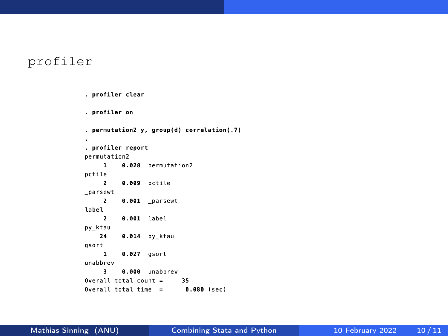#### profiler

```
. profiler clear
. profiler on
. permutation2 y, group(d) correlation(.7)
\cdot. profiler report
permutation2
           0.028 permutation2
     \mathbf{1}pctile
     \overline{2}0.009 pctile
parsewt
     \overline{2}0.001 parsewt
label
      \overline{2}0.001 label
py ktau
    24
           0.014 py_ktau
gsort
      \mathbf{1}0.027 qsort
unabbrev
      \overline{\mathbf{3}}0.000 unabbrev
Overall total count =35
Overall total time = 0.080 (sec)
```